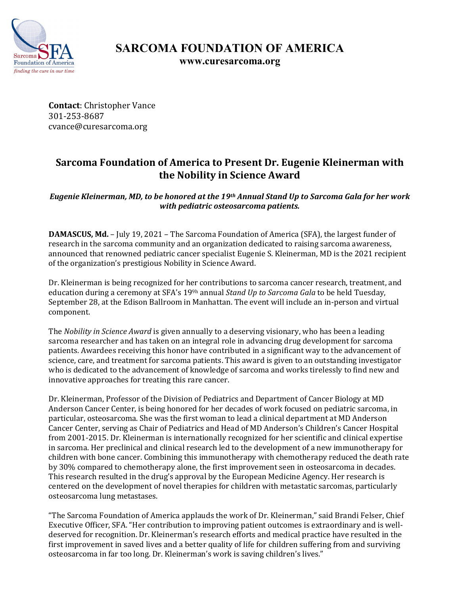

## **SARCOMA FOUNDATION OF AMERICA www.curesarcoma.org**

**Contact**: Christopher Vance 301-253-8687 cvance@curesarcoma.org

# **Sarcoma Foundation of America to Present Dr. Eugenie Kleinerman with the Nobility in Science Award**

*Eugenie Kleinerman, MD, to be honored at the 19th Annual Stand Up to Sarcoma Gala for her work with pediatric osteosarcoma patients.*

**DAMASCUS, Md.** – July 19, 2021 – The Sarcoma Foundation of America (SFA), the largest funder of research in the sarcoma community and an organization dedicated to raising sarcoma awareness, announced that renowned pediatric cancer specialist Eugenie S. Kleinerman, MD is the 2021 recipient of the organization's prestigious Nobility in Science Award.

Dr. Kleinerman is being recognized for her contributions to sarcoma cancer research, treatment, and education during a ceremony at SFA's 199h annual *Stand Up to Sarcoma Gala* to be held Tuesday, September 28, at the Edison Ballroom in Manhattan. The event will include an in-person and virtual component.

The *Nobility in Science Award* is given annually to a deserving visionary, who has been a leading sarcoma researcher and has taken on an integral role in advancing drug development for sarcoma patients. Awardees receiving this honor have contributed in a significant way to the advancement of science, care, and treatment for sarcoma patients. This award is given to an outstanding investigator who is dedicated to the advancement of knowledge of sarcoma and works tirelessly to find new and innovative approaches for treating this rare cancer.

Dr. Kleinerman, Professor of the Division of Pediatrics and Department of Cancer Biology at MD Anderson Cancer Center, is being honored for her decades of work focused on pediatric sarcoma, in particular, osteosarcoma. She was the first woman to lead a clinical department at MD Anderson Cancer Center, serving as Chair of Pediatrics and Head of MD Anderson's Children's Cancer Hospital from 2001-2015. Dr. Kleinerman is internationally recognized for her scientific and clinical expertise in sarcoma. Her preclinical and clinical research led to the development of a new immunotherapy for children with bone cancer. Combining this immunotherapy with chemotherapy reduced the death rate by 30% compared to chemotherapy alone, the first improvement seen in osteosarcoma in decades. This research resulted in the drug's approval by the European Medicine Agency. Her research is centered on the development of novel therapies for children with metastatic sarcomas, particularly osteosarcoma lung metastases.

"The Sarcoma Foundation of America applauds the work of Dr. Kleinerman," said Brandi Felser, Chief Executive Officer, SFA. "Her contribution to improving patient outcomes is extraordinary and is welldeserved for recognition. Dr. Kleinerman's research efforts and medical practice have resulted in the first improvement in saved lives and a better quality of life for children suffering from and surviving osteosarcoma in far too long. Dr. Kleinerman's work is saving children's lives."